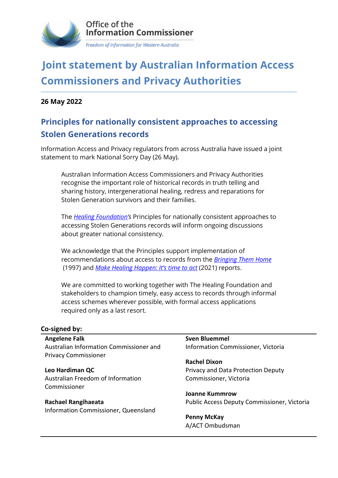

## **Joint statement by Australian Information Access Commissioners and Privacy Authorities**

**26 May 2022**

## **Principles for nationally consistent approaches to accessing Stolen Generations records**

Information Access and Privacy regulators from across Australia have issued a joint statement to mark National Sorry Day (26 May).

Australian Information Access Commissioners and Privacy Authorities recognise the important role of historical records in truth telling and sharing history, intergenerational healing, redress and reparations for Stolen Generation survivors and their families.

The *[Healing Foundation's](https://healingfoundation.org.au/)* Principles for nationally consistent approaches to accessing Stolen Generations records will inform ongoing discussions about greater national consistency.

We acknowledge that the Principles support implementation of recommendations about access to records from the *[Bringing Them Home](https://humanrights.gov.au/our-work/bringing-them-home-report-1997)* (1997) and *[Make Healing Happen: It's time to act](https://healingfoundation.org.au/make-healing-happen/)* (2021) reports.

We are committed to working together with The Healing Foundation and stakeholders to champion timely, easy access to records through informal access schemes wherever possible, with formal access applications required only as a last resort.

## **Co-signed by:**

**Angelene Falk** Australian Information Commissioner and Privacy Commissioner

**Leo Hardiman QC** Australian Freedom of Information Commissioner

**Rachael Rangihaeata** Information Commissioner, Queensland **Sven Bluemmel** Information Commissioner, Victoria

**Rachel Dixon** Privacy and Data Protection Deputy Commissioner, Victoria

**Joanne Kummrow** Public Access Deputy Commissioner, Victoria

**Penny McKay** A/ACT Ombudsman